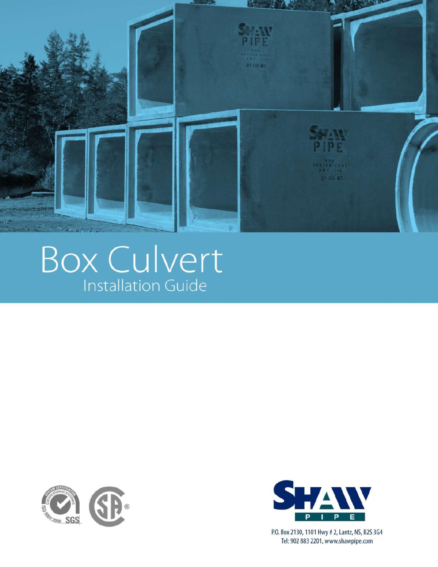

# Box Culvert





P.O. Box 2130, 1101 Hwy # 2, Lantz, NS, B2S 3G4 Tel: 902 883 2201, www.shawpipe.com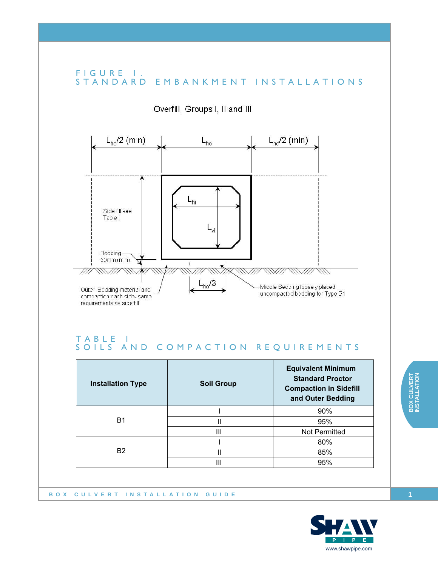

#### TABLE 1 SOILS AND COMPACTION REQUIREMENTS

| <b>Installation Type</b> | <b>Soil Group</b> | <b>Equivalent Minimum</b><br><b>Standard Proctor</b><br><b>Compaction in Sidefill</b><br>and Outer Bedding |
|--------------------------|-------------------|------------------------------------------------------------------------------------------------------------|
| B1                       |                   | 90%                                                                                                        |
|                          | Ш                 | 95%                                                                                                        |
|                          | Ш                 | Not Permitted                                                                                              |
| <b>B2</b>                |                   | 80%                                                                                                        |
|                          | Ш                 | 85%                                                                                                        |
|                          | Ш                 | 95%                                                                                                        |

**BOX CULVERT INSTALLATION GUIDE**

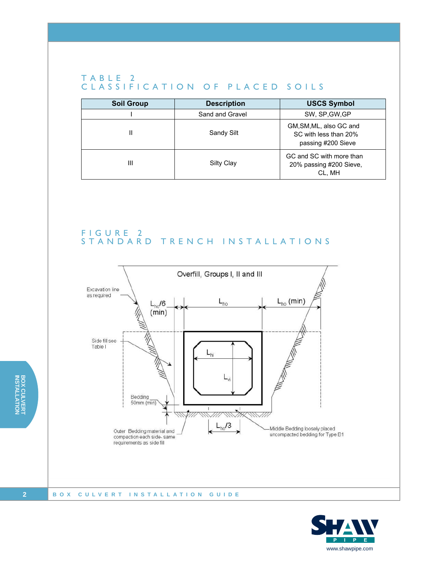#### TABLE 2 CLASSIFICATION OF PLACED SOILS

| <b>Soil Group</b> | <b>Description</b> | <b>USCS Symbol</b>                                                     |
|-------------------|--------------------|------------------------------------------------------------------------|
|                   | Sand and Gravel    | SW, SP, GW, GP                                                         |
| Ш                 | Sandy Silt         | GM, SM, ML, also GC and<br>SC with less than 20%<br>passing #200 Sieve |
| Ш                 | Silty Clay         | GC and SC with more than<br>20% passing #200 Sieve,<br>CL, MH          |

#### FIGURE 2 STANDARD TRENCH INSTALLATIONS



#### **BOX CULVERT INSTALLATION GUIDE**

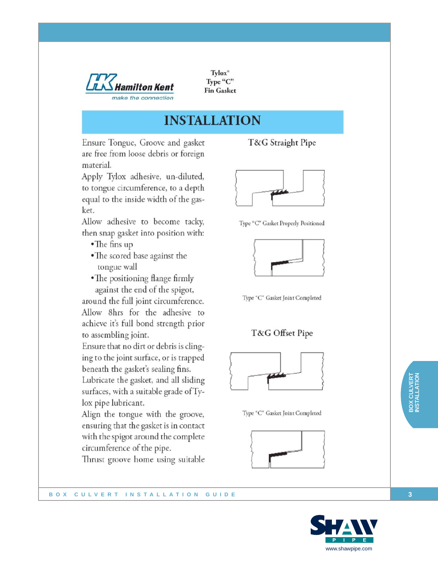

Tylox<sup>®</sup> Type "C" **Fin Gasket** 

### **INSTALLATION**

Ensure Tongue, Groove and gasket are free from loose debris or foreign material.

Apply Tylox adhesive, un-diluted, to tongue circumference, to a depth equal to the inside width of the gasket.

Allow adhesive to become tacky, then snap gasket into position with:

- $\bullet$ The fins up
- The scored base against the tongue wall
- The positioning flange firmly against the end of the spigot,

around the full joint circumference. Allow 8hrs for the adhesive to achieve it's full bond strength prior to assembling joint.

Ensure that no dirt or debris is clinging to the joint surface, or is trapped beneath the gasket's sealing fins. Lubricate the gasket, and all sliding

surfaces, with a suitable grade of Tylox pipe lubricant.

Align the tongue with the groove, ensuring that the gasket is in contact with the spigot around the complete circumference of the pipe.

Thrust groove home using suitable

BOX CULVERT INSTALLATION GUIDE

T&G Straight Pipe



Type "C" Gasket Properly Positioned



Type "C" Gasket Joint Completed

#### T&G Offset Pipe



Type "C" Gasket Joint Completed



3

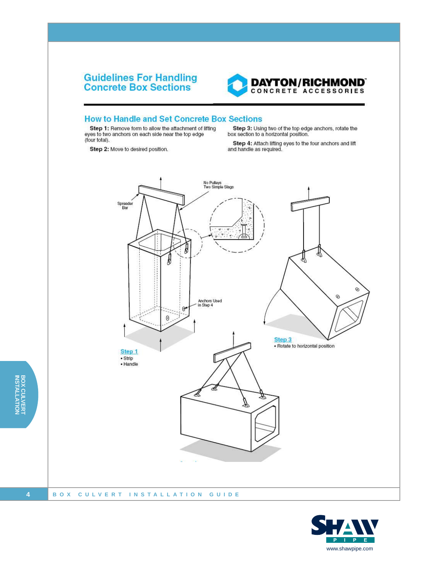## **Guidelines For Handling<br>Concrete Box Sections**



#### **How to Handle and Set Concrete Box Sections**

Step 1: Remove form to allow the attachment of lifting eyes to two anchors on each side near the top edge (four total).

Step 3: Using two of the top edge anchors, rotate the box section to a horizontal position.

Step 4: Attach lifting eyes to the four anchors and lift and handle as required.

Step 2: Move to desired position.



BOX CULVERT<br>INSTALLATION